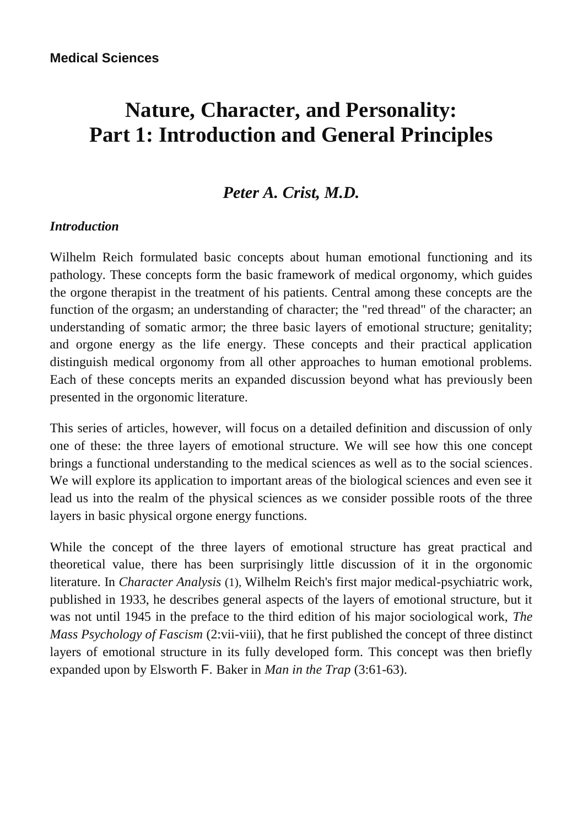# **Nature, Character, and Personality: Part 1: Introduction and General Principles**

# *Peter A. Crist, M.D.*

#### *Introduction*

Wilhelm Reich formulated basic concepts about human emotional functioning and its pathology. These concepts form the basic framework of medical orgonomy, which guides the orgone therapist in the treatment of his patients. Central among these concepts are the function of the orgasm; an understanding of character; the "red thread" of the character; an understanding of somatic armor; the three basic layers of emotional structure; genitality; and orgone energy as the life energy. These concepts and their practical application distinguish medical orgonomy from all other approaches to human emotional problems. Each of these concepts merits an expanded discussion beyond what has previously been presented in the orgonomic literature.

This series of articles, however, will focus on a detailed definition and discussion of only one of these: the three layers of emotional structure. We will see how this one concept brings a functional understanding to the medical sciences as well as to the social sciences. We will explore its application to important areas of the biological sciences and even see it lead us into the realm of the physical sciences as we consider possible roots of the three layers in basic physical orgone energy functions.

While the concept of the three layers of emotional structure has great practical and theoretical value, there has been surprisingly little discussion of it in the orgonomic literature. In *Character Analysis* (1), Wilhelm Reich's first major medical-psychiatric work, published in 1933, he describes general aspects of the layers of emotional structure, but it was not until 1945 in the preface to the third edition of his major sociological work, *The Mass Psychology of Fascism* (2:vii-viii), that he first published the concept of three distinct layers of emotional structure in its fully developed form. This concept was then briefly expanded upon by Elsworth F. Baker in *Man in the Trap* (3:61-63).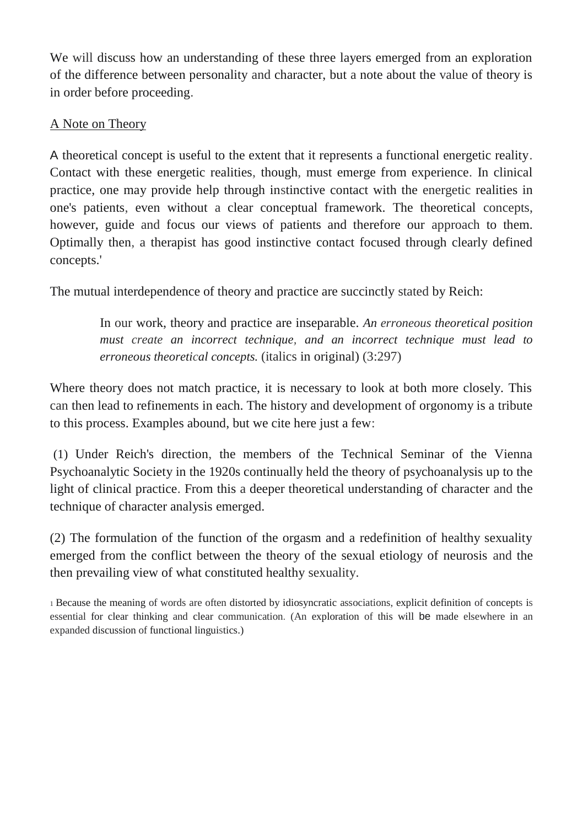We will discuss how an understanding of these three layers emerged from an exploration of the difference between personality and character, but a note about the value of theory is in order before proceeding.

## A Note on Theory

A theoretical concept is useful to the extent that it represents a functional energetic reality. Contact with these energetic realities, though, must emerge from experience. In clinical practice, one may provide help through instinctive contact with the energetic realities in one's patients, even without a clear conceptual framework. The theoretical concepts, however, guide and focus our views of patients and therefore our approach to them. Optimally then, a therapist has good instinctive contact focused through clearly defined concepts.'

The mutual interdependence of theory and practice are succinctly stated by Reich:

In our work, theory and practice are inseparable. *An erroneous theoretical position must create an incorrect technique, and an incorrect technique must lead to erroneous theoretical concepts.* (italics in original) (3:297)

Where theory does not match practice, it is necessary to look at both more closely. This can then lead to refinements in each. The history and development of orgonomy is a tribute to this process. Examples abound, but we cite here just a few:

(1) Under Reich's direction, the members of the Technical Seminar of the Vienna Psychoanalytic Society in the 1920s continually held the theory of psychoanalysis up to the light of clinical practice. From this a deeper theoretical understanding of character and the technique of character analysis emerged.

(2) The formulation of the function of the orgasm and a redefinition of healthy sexuality emerged from the conflict between the theory of the sexual etiology of neurosis and the then prevailing view of what constituted healthy sexuality.

<sup>1</sup>Because the meaning of words are often distorted by idiosyncratic associations, explicit definition of concepts is essential for clear thinking and clear communication. (An exploration of this will be made elsewhere in an expanded discussion of functional linguistics.)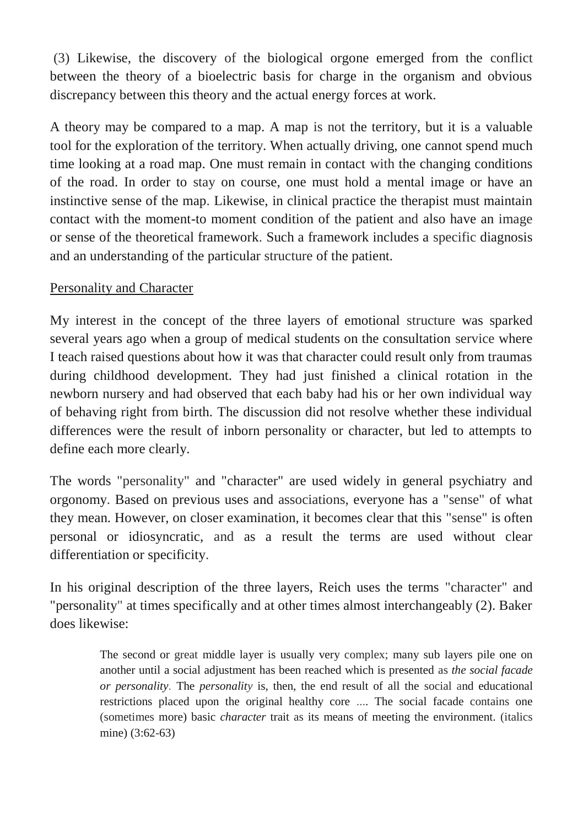(3) Likewise, the discovery of the biological orgone emerged from the conflict between the theory of a bioelectric basis for charge in the organism and obvious discrepancy between this theory and the actual energy forces at work.

A theory may be compared to a map. A map is not the territory, but it is a valuable tool for the exploration of the territory. When actually driving, one cannot spend much time looking at a road map. One must remain in contact with the changing conditions of the road. In order to stay on course, one must hold a mental image or have an instinctive sense of the map. Likewise, in clinical practice the therapist must maintain contact with the moment-to moment condition of the patient and also have an image or sense of the theoretical framework. Such a framework includes a specific diagnosis and an understanding of the particular structure of the patient.

# Personality and Character

My interest in the concept of the three layers of emotional structure was sparked several years ago when a group of medical students on the consultation service where I teach raised questions about how it was that character could result only from traumas during childhood development. They had just finished a clinical rotation in the newborn nursery and had observed that each baby had his or her own individual way of behaving right from birth. The discussion did not resolve whether these individual differences were the result of inborn personality or character, but led to attempts to define each more clearly.

The words "personality" and "character" are used widely in general psychiatry and orgonomy. Based on previous uses and associations, everyone has a "sense" of what they mean. However, on closer examination, it becomes clear that this "sense" is often personal or idiosyncratic, and as a result the terms are used without clear differentiation or specificity.

In his original description of the three layers, Reich uses the terms "character" and "personality" at times specifically and at other times almost interchangeably (2). Baker does likewise:

> The second or great middle layer is usually very complex; many sub layers pile one on another until a social adjustment has been reached which is presented as *the social facade or personality.* The *personality* is, then, the end result of all the social and educational restrictions placed upon the original healthy core .... The social facade contains one (sometimes more) basic *character* trait as its means of meeting the environment. (italics mine) (3:62-63)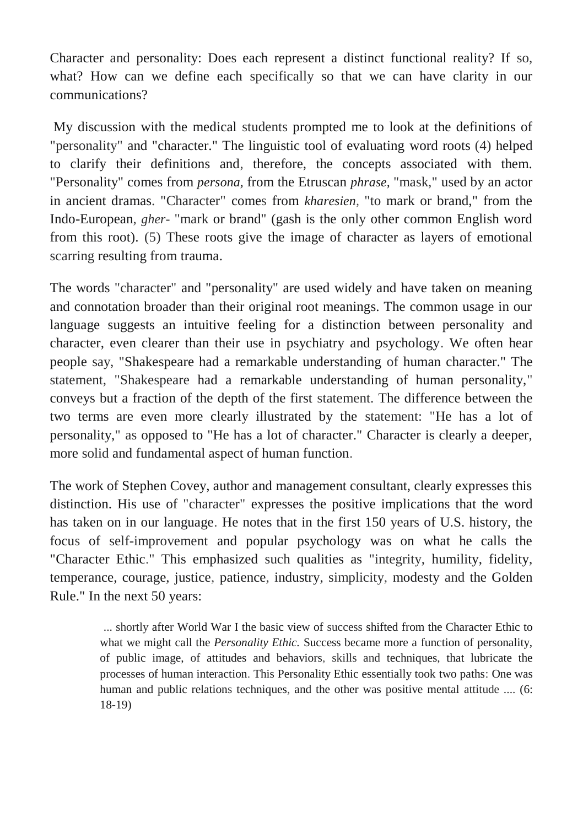Character and personality: Does each represent a distinct functional reality? If so, what? How can we define each specifically so that we can have clarity in our communications?

My discussion with the medical students prompted me to look at the definitions of "personality" and "character." The linguistic tool of evaluating word roots (4) helped to clarify their definitions and, therefore, the concepts associated with them. "Personality" comes from *persona,* from the Etruscan *phrase,* "mask," used by an actor in ancient dramas. "Character" comes from *kharesien,* "to mark or brand," from the Indo-European, *gher-* "mark or brand" (gash is the only other common English word from this root). (5) These roots give the image of character as layers of emotional scarring resulting from trauma.

The words "character" and "personality" are used widely and have taken on meaning and connotation broader than their original root meanings. The common usage in our language suggests an intuitive feeling for a distinction between personality and character, even clearer than their use in psychiatry and psychology. We often hear people say, "Shakespeare had a remarkable understanding of human character." The statement, "Shakespeare had a remarkable understanding of human personality," conveys but a fraction of the depth of the first statement. The difference between the two terms are even more clearly illustrated by the statement: "He has a lot of personality," as opposed to "He has a lot of character." Character is clearly a deeper, more solid and fundamental aspect of human function.

The work of Stephen Covey, author and management consultant, clearly expresses this distinction. His use of "character" expresses the positive implications that the word has taken on in our language. He notes that in the first 150 years of U.S. history, the focus of self-improvement and popular psychology was on what he calls the "Character Ethic." This emphasized such qualities as "integrity, humility, fidelity, temperance, courage, justice, patience, industry, simplicity, modesty and the Golden Rule." In the next 50 years:

> ... shortly after World War I the basic view of success shifted from the Character Ethic to what we might call the *Personality Ethic.* Success became more a function of personality, of public image, of attitudes and behaviors, skills and techniques, that lubricate the processes of human interaction. This Personality Ethic essentially took two paths: One was human and public relations techniques, and the other was positive mental attitude .... (6: 18-19)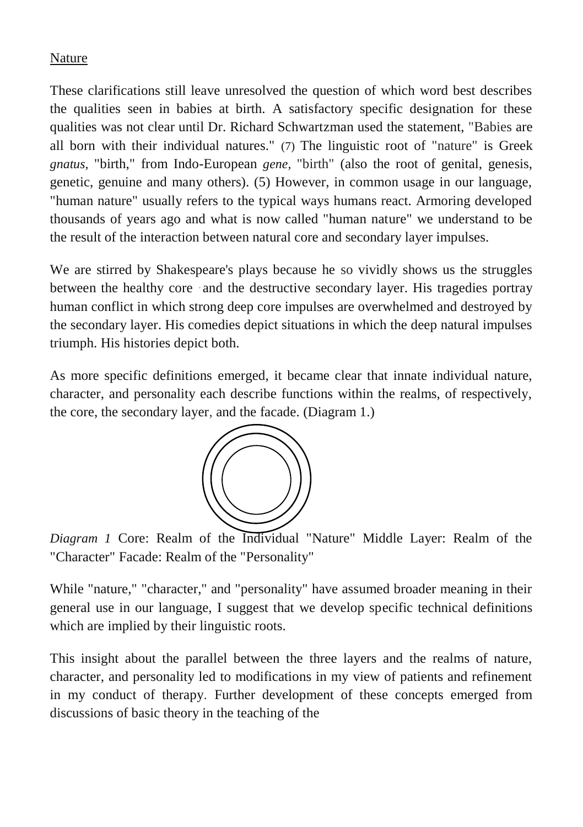## Nature

These clarifications still leave unresolved the question of which word best describes the qualities seen in babies at birth. A satisfactory specific designation for these qualities was not clear until Dr. Richard Schwartzman used the statement, "Babies are all born with their individual natures." (7) The linguistic root of "nature" is Greek *gnatus,* "birth," from Indo-European *gene,* "birth" (also the root of genital, genesis, genetic, genuine and many others). (5) However, in common usage in our language, "human nature" usually refers to the typical ways humans react. Armoring developed thousands of years ago and what is now called "human nature" we understand to be the result of the interaction between natural core and secondary layer impulses.

We are stirred by Shakespeare's plays because he so vividly shows us the struggles between the healthy core ·and the destructive secondary layer. His tragedies portray human conflict in which strong deep core impulses are overwhelmed and destroyed by the secondary layer. His comedies depict situations in which the deep natural impulses triumph. His histories depict both.

As more specific definitions emerged, it became clear that innate individual nature, character, and personality each describe functions within the realms, of respectively, the core, the secondary layer, and the facade. (Diagram 1.)



*Diagram 1* Core: Realm of the Individual "Nature" Middle Layer: Realm of the "Character" Facade: Realm of the "Personality"

While "nature," "character," and "personality" have assumed broader meaning in their general use in our language, I suggest that we develop specific technical definitions which are implied by their linguistic roots.

This insight about the parallel between the three layers and the realms of nature, character, and personality led to modifications in my view of patients and refinement in my conduct of therapy. Further development of these concepts emerged from discussions of basic theory in the teaching of the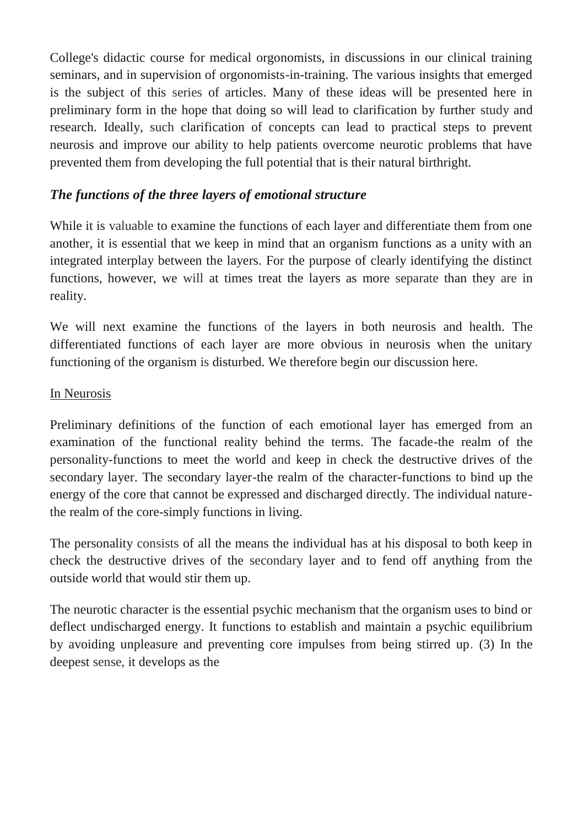College's didactic course for medical orgonomists, in discussions in our clinical training seminars, and in supervision of orgonomists-in-training. The various insights that emerged is the subject of this series of articles. Many of these ideas will be presented here in preliminary form in the hope that doing so will lead to clarification by further study and research. Ideally, such clarification of concepts can lead to practical steps to prevent neurosis and improve our ability to help patients overcome neurotic problems that have prevented them from developing the full potential that is their natural birthright.

# *The functions of the three layers of emotional structure*

While it is valuable to examine the functions of each layer and differentiate them from one another, it is essential that we keep in mind that an organism functions as a unity with an integrated interplay between the layers. For the purpose of clearly identifying the distinct functions, however, we will at times treat the layers as more separate than they are in reality.

We will next examine the functions of the layers in both neurosis and health. The differentiated functions of each layer are more obvious in neurosis when the unitary functioning of the organism is disturbed. We therefore begin our discussion here.

#### In Neurosis

Preliminary definitions of the function of each emotional layer has emerged from an examination of the functional reality behind the terms. The facade-the realm of the personality-functions to meet the world and keep in check the destructive drives of the secondary layer. The secondary layer-the realm of the character-functions to bind up the energy of the core that cannot be expressed and discharged directly. The individual naturethe realm of the core-simply functions in living.

The personality consists of all the means the individual has at his disposal to both keep in check the destructive drives of the secondary layer and to fend off anything from the outside world that would stir them up.

The neurotic character is the essential psychic mechanism that the organism uses to bind or deflect undischarged energy. It functions to establish and maintain a psychic equilibrium by avoiding unpleasure and preventing core impulses from being stirred up. (3) In the deepest sense, it develops as the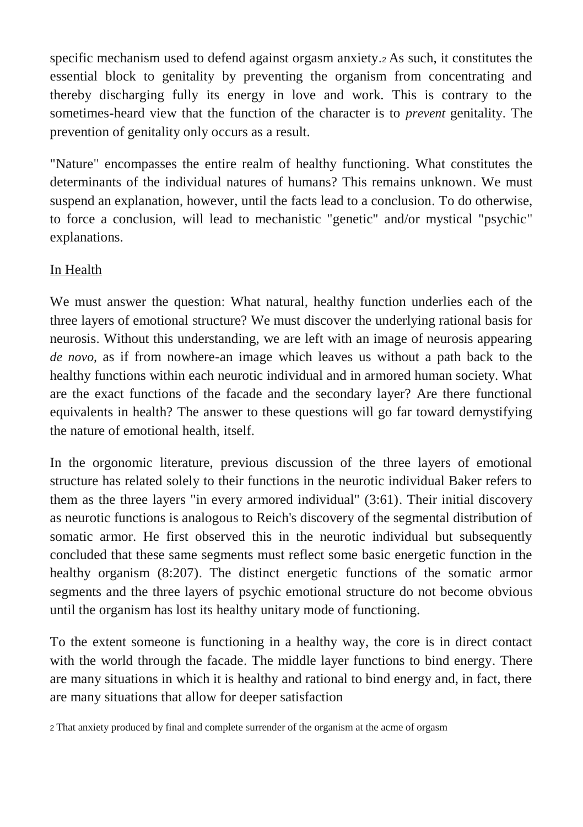specific mechanism used to defend against orgasm anxiety.2 As such, it constitutes the essential block to genitality by preventing the organism from concentrating and thereby discharging fully its energy in love and work. This is contrary to the sometimes-heard view that the function of the character is to *prevent* genitality. The prevention of genitality only occurs as a result.

"Nature" encompasses the entire realm of healthy functioning. What constitutes the determinants of the individual natures of humans? This remains unknown. We must suspend an explanation, however, until the facts lead to a conclusion. To do otherwise, to force a conclusion, will lead to mechanistic "genetic" and/or mystical "psychic" explanations.

# In Health

We must answer the question: What natural, healthy function underlies each of the three layers of emotional structure? We must discover the underlying rational basis for neurosis. Without this understanding, we are left with an image of neurosis appearing *de novo,* as if from nowhere-an image which leaves us without a path back to the healthy functions within each neurotic individual and in armored human society. What are the exact functions of the facade and the secondary layer? Are there functional equivalents in health? The answer to these questions will go far toward demystifying the nature of emotional health, itself.

In the orgonomic literature, previous discussion of the three layers of emotional structure has related solely to their functions in the neurotic individual Baker refers to them as the three layers "in every armored individual" (3:61). Their initial discovery as neurotic functions is analogous to Reich's discovery of the segmental distribution of somatic armor. He first observed this in the neurotic individual but subsequently concluded that these same segments must reflect some basic energetic function in the healthy organism (8:207). The distinct energetic functions of the somatic armor segments and the three layers of psychic emotional structure do not become obvious until the organism has lost its healthy unitary mode of functioning.

To the extent someone is functioning in a healthy way, the core is in direct contact with the world through the facade. The middle layer functions to bind energy. There are many situations in which it is healthy and rational to bind energy and, in fact, there are many situations that allow for deeper satisfaction

2 That anxiety produced by final and complete surrender of the organism at the acme of orgasm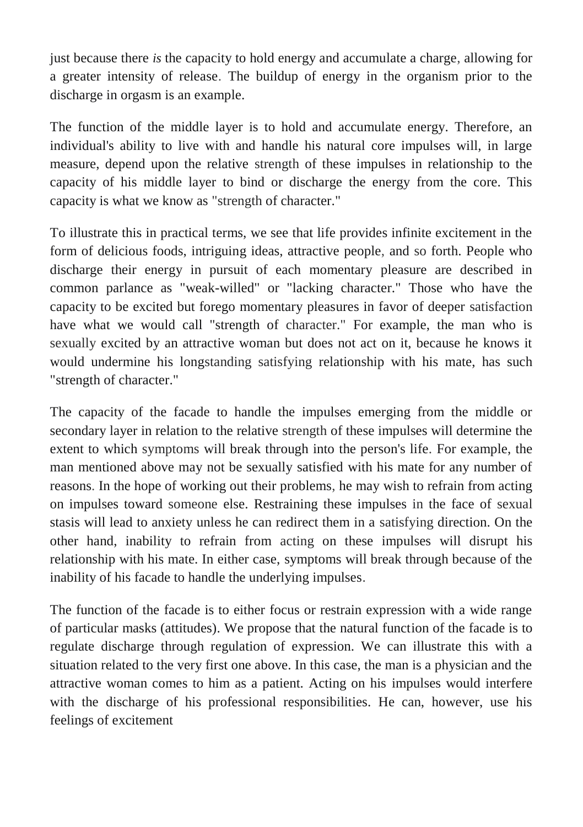just because there *is* the capacity to hold energy and accumulate a charge, allowing for a greater intensity of release. The buildup of energy in the organism prior to the discharge in orgasm is an example.

The function of the middle layer is to hold and accumulate energy. Therefore, an individual's ability to live with and handle his natural core impulses will, in large measure, depend upon the relative strength of these impulses in relationship to the capacity of his middle layer to bind or discharge the energy from the core. This capacity is what we know as "strength of character."

To illustrate this in practical terms, we see that life provides infinite excitement in the form of delicious foods, intriguing ideas, attractive people, and so forth. People who discharge their energy in pursuit of each momentary pleasure are described in common parlance as "weak-willed" or "lacking character." Those who have the capacity to be excited but forego momentary pleasures in favor of deeper satisfaction have what we would call "strength of character." For example, the man who is sexually excited by an attractive woman but does not act on it, because he knows it would undermine his longstanding satisfying relationship with his mate, has such "strength of character."

The capacity of the facade to handle the impulses emerging from the middle or secondary layer in relation to the relative strength of these impulses will determine the extent to which symptoms will break through into the person's life. For example, the man mentioned above may not be sexually satisfied with his mate for any number of reasons. In the hope of working out their problems, he may wish to refrain from acting on impulses toward someone else. Restraining these impulses in the face of sexual stasis will lead to anxiety unless he can redirect them in a satisfying direction. On the other hand, inability to refrain from acting on these impulses will disrupt his relationship with his mate. In either case, symptoms will break through because of the inability of his facade to handle the underlying impulses.

The function of the facade is to either focus or restrain expression with a wide range of particular masks (attitudes). We propose that the natural function of the facade is to regulate discharge through regulation of expression. We can illustrate this with a situation related to the very first one above. In this case, the man is a physician and the attractive woman comes to him as a patient. Acting on his impulses would interfere with the discharge of his professional responsibilities. He can, however, use his feelings of excitement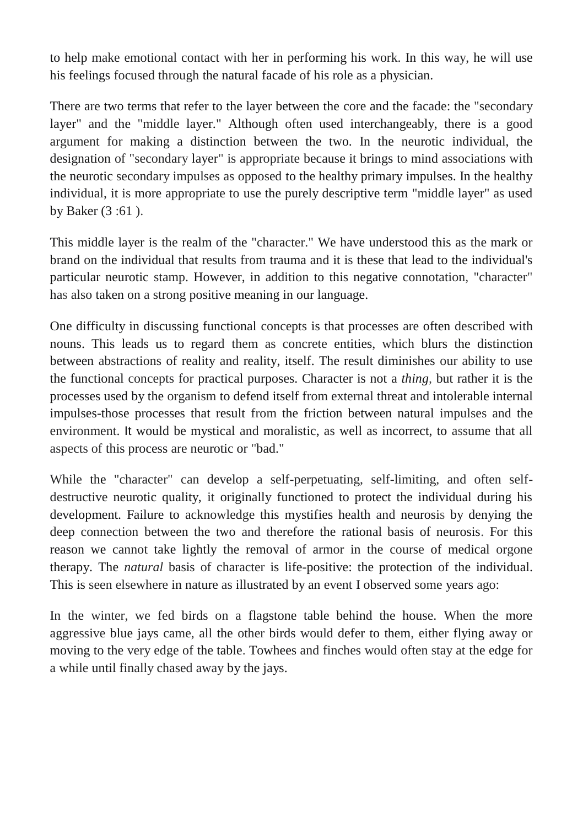to help make emotional contact with her in performing his work. In this way, he will use his feelings focused through the natural facade of his role as a physician.

There are two terms that refer to the layer between the core and the facade: the "secondary layer" and the "middle layer." Although often used interchangeably, there is a good argument for making a distinction between the two. In the neurotic individual, the designation of "secondary layer" is appropriate because it brings to mind associations with the neurotic secondary impulses as opposed to the healthy primary impulses. In the healthy individual, it is more appropriate to use the purely descriptive term "middle layer" as used by Baker (3 :61 ).

This middle layer is the realm of the "character." We have understood this as the mark or brand on the individual that results from trauma and it is these that lead to the individual's particular neurotic stamp. However, in addition to this negative connotation, "character" has also taken on a strong positive meaning in our language.

One difficulty in discussing functional concepts is that processes are often described with nouns. This leads us to regard them as concrete entities, which blurs the distinction between abstractions of reality and reality, itself. The result diminishes our ability to use the functional concepts for practical purposes. Character is not a *thing,* but rather it is the processes used by the organism to defend itself from external threat and intolerable internal impulses-those processes that result from the friction between natural impulses and the environment. It would be mystical and moralistic, as well as incorrect, to assume that all aspects of this process are neurotic or "bad."

While the "character" can develop a self-perpetuating, self-limiting, and often selfdestructive neurotic quality, it originally functioned to protect the individual during his development. Failure to acknowledge this mystifies health and neurosis by denying the deep connection between the two and therefore the rational basis of neurosis. For this reason we cannot take lightly the removal of armor in the course of medical orgone therapy. The *natural* basis of character is life-positive: the protection of the individual. This is seen elsewhere in nature as illustrated by an event I observed some years ago:

In the winter, we fed birds on a flagstone table behind the house. When the more aggressive blue jays came, all the other birds would defer to them, either flying away or moving to the very edge of the table. Towhees and finches would often stay at the edge for a while until finally chased away by the jays.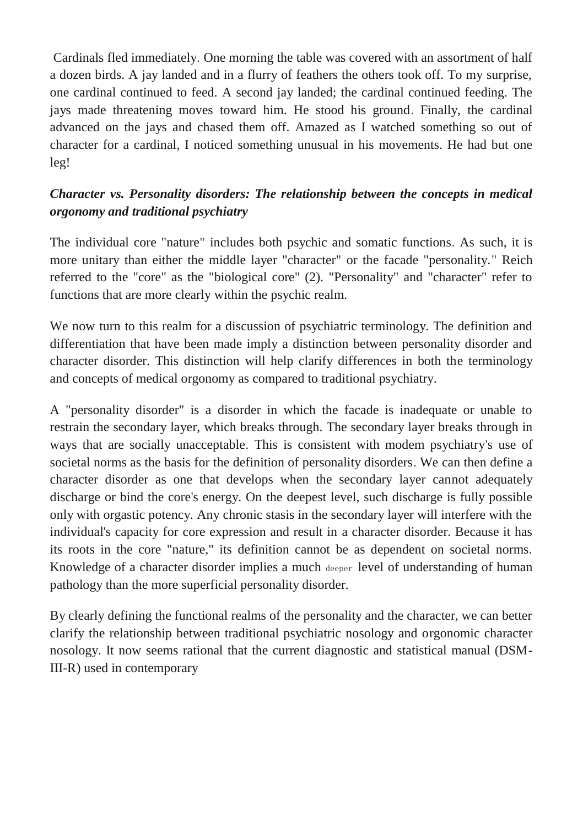Cardinals fled immediately. One morning the table was covered with an assortment of half a dozen birds. A jay landed and in a flurry of feathers the others took off. To my surprise, one cardinal continued to feed. A second jay landed; the cardinal continued feeding. The jays made threatening moves toward him. He stood his ground. Finally, the cardinal advanced on the jays and chased them off. Amazed as I watched something so out of character for a cardinal, I noticed something unusual in his movements. He had but one leg!

# *Character vs. Personality disorders: The relationship between the concepts in medical orgonomy and traditional psychiatry*

The individual core "nature" includes both psychic and somatic functions. As such, it is more unitary than either the middle layer "character" or the facade "personality." Reich referred to the "core" as the "biological core" (2). "Personality" and "character" refer to functions that are more clearly within the psychic realm.

We now turn to this realm for a discussion of psychiatric terminology. The definition and differentiation that have been made imply a distinction between personality disorder and character disorder. This distinction will help clarify differences in both the terminology and concepts of medical orgonomy as compared to traditional psychiatry.

A "personality disorder" is a disorder in which the facade is inadequate or unable to restrain the secondary layer, which breaks through. The secondary layer breaks through in ways that are socially unacceptable. This is consistent with modem psychiatry's use of societal norms as the basis for the definition of personality disorders. We can then define a character disorder as one that develops when the secondary layer cannot adequately discharge or bind the core's energy. On the deepest level, such discharge is fully possible only with orgastic potency. Any chronic stasis in the secondary layer will interfere with the individual's capacity for core expression and result in a character disorder. Because it has its roots in the core "nature," its definition cannot be as dependent on societal norms. Knowledge of a character disorder implies a much deeper level of understanding of human pathology than the more superficial personality disorder.

By clearly defining the functional realms of the personality and the character, we can better clarify the relationship between traditional psychiatric nosology and orgonomic character nosology. It now seems rational that the current diagnostic and statistical manual (DSM-III-R) used in contemporary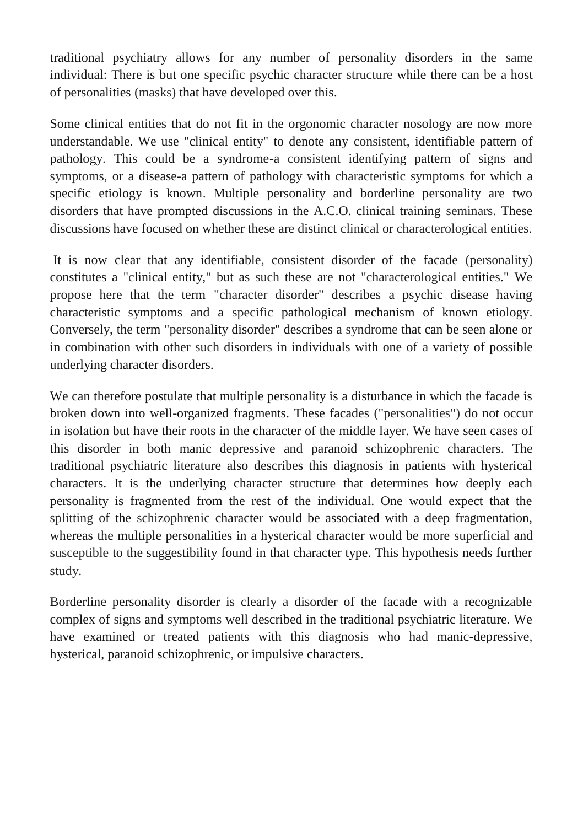traditional psychiatry allows for any number of personality disorders in the same individual: There is but one specific psychic character structure while there can be a host of personalities (masks) that have developed over this.

Some clinical entities that do not fit in the orgonomic character nosology are now more understandable. We use "clinical entity" to denote any consistent, identifiable pattern of pathology. This could be a syndrome-a consistent identifying pattern of signs and symptoms, or a disease-a pattern of pathology with characteristic symptoms for which a specific etiology is known. Multiple personality and borderline personality are two disorders that have prompted discussions in the A.C.O. clinical training seminars. These discussions have focused on whether these are distinct clinical or characterological entities.

It is now clear that any identifiable, consistent disorder of the facade (personality) constitutes a "clinical entity," but as such these are not "characterological entities." We propose here that the term "character disorder" describes a psychic disease having characteristic symptoms and a specific pathological mechanism of known etiology. Conversely, the term "personality disorder" describes a syndrome that can be seen alone or in combination with other such disorders in individuals with one of a variety of possible underlying character disorders.

We can therefore postulate that multiple personality is a disturbance in which the facade is broken down into well-organized fragments. These facades ("personalities") do not occur in isolation but have their roots in the character of the middle layer. We have seen cases of this disorder in both manic depressive and paranoid schizophrenic characters. The traditional psychiatric literature also describes this diagnosis in patients with hysterical characters. It is the underlying character structure that determines how deeply each personality is fragmented from the rest of the individual. One would expect that the splitting of the schizophrenic character would be associated with a deep fragmentation, whereas the multiple personalities in a hysterical character would be more superficial and susceptible to the suggestibility found in that character type. This hypothesis needs further study.

Borderline personality disorder is clearly a disorder of the facade with a recognizable complex of signs and symptoms well described in the traditional psychiatric literature. We have examined or treated patients with this diagnosis who had manic-depressive, hysterical, paranoid schizophrenic, or impulsive characters.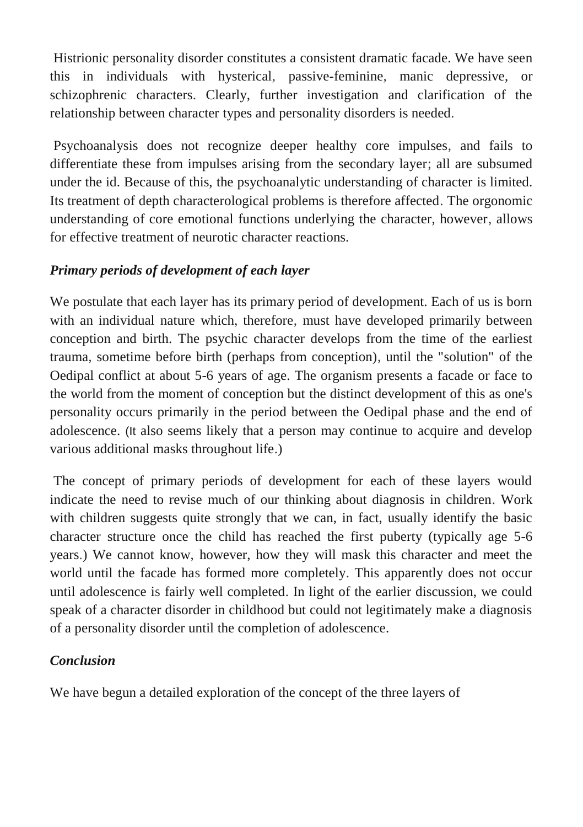Histrionic personality disorder constitutes a consistent dramatic facade. We have seen this in individuals with hysterical, passive-feminine, manic depressive, or schizophrenic characters. Clearly, further investigation and clarification of the relationship between character types and personality disorders is needed.

Psychoanalysis does not recognize deeper healthy core impulses, and fails to differentiate these from impulses arising from the secondary layer; all are subsumed under the id. Because of this, the psychoanalytic understanding of character is limited. Its treatment of depth characterological problems is therefore affected. The orgonomic understanding of core emotional functions underlying the character, however, allows for effective treatment of neurotic character reactions.

# *Primary periods of development of each layer*

We postulate that each layer has its primary period of development. Each of us is born with an individual nature which, therefore, must have developed primarily between conception and birth. The psychic character develops from the time of the earliest trauma, sometime before birth (perhaps from conception), until the "solution" of the Oedipal conflict at about 5-6 years of age. The organism presents a facade or face to the world from the moment of conception but the distinct development of this as one's personality occurs primarily in the period between the Oedipal phase and the end of adolescence. (It also seems likely that a person may continue to acquire and develop various additional masks throughout life.)

The concept of primary periods of development for each of these layers would indicate the need to revise much of our thinking about diagnosis in children. Work with children suggests quite strongly that we can, in fact, usually identify the basic character structure once the child has reached the first puberty (typically age 5-6 years.) We cannot know, however, how they will mask this character and meet the world until the facade has formed more completely. This apparently does not occur until adolescence is fairly well completed. In light of the earlier discussion, we could speak of a character disorder in childhood but could not legitimately make a diagnosis of a personality disorder until the completion of adolescence.

# *Conclusion*

We have begun a detailed exploration of the concept of the three layers of